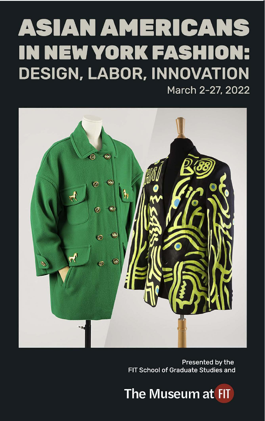## **ASIAN AMERICANS IN NEW YORK FASHION: DESIGN, LABOR, INNOVATION** March 2-27, 2022



Presented by the FIT School of Graduate Studies and

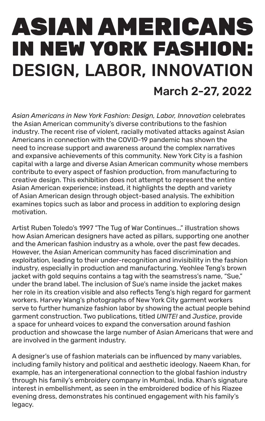# ASIAN AMERICANS IN NEW YORK FASHION: DESIGN, LABOR, INNOVATION March 2-27, 2022

*Asian Americans in New York Fashion: Design, Labor, Innovation* celebrates the Asian American community's diverse contributions to the fashion industry. The recent rise of violent, racially motivated attacks against Asian Americans in connection with the COVID-19 pandemic has shown the need to increase support and awareness around the complex narratives and expansive achievements of this community. New York City is a fashion capital with a large and diverse Asian American community whose members contribute to every aspect of fashion production, from manufacturing to creative design. This exhibition does not attempt to represent the entire Asian American experience; instead, it highlights the depth and variety of Asian American design through object-based analysis. The exhibition examines topics such as labor and process in addition to exploring design motivation.

Artist Ruben Toledo's 1997 "The Tug of War Continues..." illustration shows how Asian American designers have acted as pillars, supporting one another and the American fashion industry as a whole, over the past few decades. However, the Asian American community has faced discrimination and exploitation, leading to their under-recognition and invisibility in the fashion industry, especially in production and manufacturing. Yeohlee Teng's brown jacket with gold sequins contains a tag with the seamstress's name, "Sue," under the brand label. The inclusion of Sue's name inside the jacket makes her role in its creation visible and also reflects Teng's high regard for garment workers. Harvey Wang's photographs of New York City garment workers serve to further humanize fashion labor by showing the actual people behind garment construction. Two publications, titled *UNITE!* and *Justice*, provide a space for unheard voices to expand the conversation around fashion production and showcase the large number of Asian Americans that were and are involved in the garment industry.

A designer's use of fashion materials can be influenced by many variables, including family history and political and aesthetic ideology. Naeem Khan, for example, has an intergenerational connection to the global fashion industry through his family's embroidery company in Mumbai, India. Khan's signature interest in embellishment, as seen in the embroidered bodice of his Riazee evening dress, demonstrates his continued engagement with his family's legacy.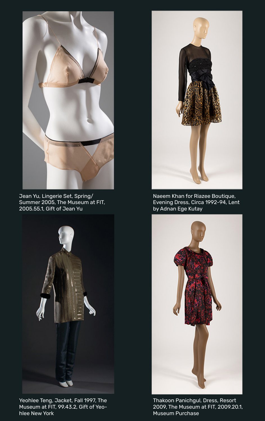

Jean Yu, Lingerie Set, Spring/ Summer 2005, The Museum at FIT, 2005.55.1, Gift of Jean Yu



Yeohlee Teng, Jacket, Fall 1997, The Museum at FIT, 99.43.2, Gift of Yeohlee New York



Naeem Khan for Riazee Boutique, Evening Dress, Circa 1992-94, Lent by Adnan Ege Kutay



Thakoon Panichgul, Dress, Resort 2009, The Museum at FIT, 2009.20.1, Museum Purchase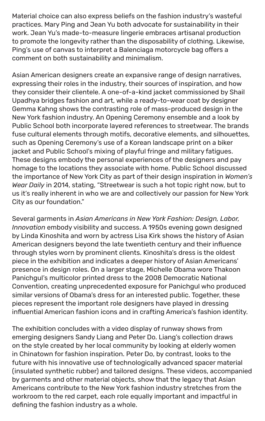Material choice can also express beliefs on the fashion industry's wasteful practices. Mary Ping and Jean Yu both advocate for sustainability in their work. Jean Yu's made-to-measure lingerie embraces artisanal production to promote the longevity rather than the disposability of clothing. Likewise, Ping's use of canvas to interpret a Balenciaga motorcycle bag offers a comment on both sustainability and minimalism.

Asian American designers create an expansive range of design narratives, expressing their roles in the industry, their sources of inspiration, and how they consider their clientele. A one-of-a-kind jacket commissioned by Shail Upadhya bridges fashion and art, while a ready-to-wear coat by designer Gemma Kahng shows the contrasting role of mass-produced design in the New York fashion industry. An Opening Ceremony ensemble and a look by Public School both incorporate layered references to streetwear. The brands fuse cultural elements through motifs, decorative elements, and silhouettes, such as Opening Ceremony's use of a Korean landscape print on a biker jacket and Public School's mixing of playful fringe and military fatigues. These designs embody the personal experiences of the designers and pay homage to the locations they associate with home. Public School discussed the importance of New York City as part of their design inspiration in *Women's Wear Daily* in 2014, stating, "Streetwear is such a hot topic right now, but to us it's really inherent in who we are and collectively our passion for New York City as our foundation."

Several garments in *Asian Americans in New York Fashion: Design, Labor, Innovation* embody visibility and success. A 1950s evening gown designed by Linda Kinoshita and worn by actress Lisa Kirk shows the history of Asian American designers beyond the late twentieth century and their influence through styles worn by prominent clients. Kinoshita's dress is the oldest piece in the exhibition and indicates a deeper history of Asian Americans' presence in design roles. On a larger stage, Michelle Obama wore Thakoon Panichgul's multicolor printed dress to the 2008 Democratic National Convention, creating unprecedented exposure for Panichgul who produced similar versions of Obama's dress for an interested public. Together, these pieces represent the important role designers have played in dressing influential American fashion icons and in crafting America's fashion identity.

The exhibition concludes with a video display of runway shows from emerging designers Sandy Liang and Peter Do. Liang's collection draws on the style created by her local community by looking at elderly women in Chinatown for fashion inspiration. Peter Do, by contrast, looks to the future with his innovative use of technologically advanced spacer material (insulated synthetic rubber) and tailored designs. These videos, accompanied by garments and other material objects, show that the legacy that Asian Americans contribute to the New York fashion industry stretches from the workroom to the red carpet, each role equally important and impactful in defining the fashion industry as a whole.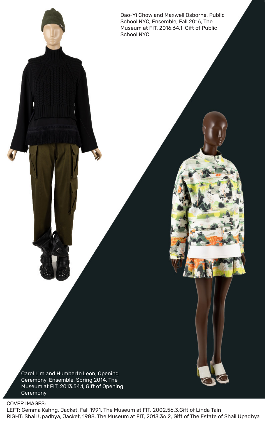Dao-Yi Chow and Maxwell Osborne, Public School NYC, Ensemble, Fall 2016, The Museum at FIT, 2016.64.1, Gift of Public School NYC

Carol Lim and Humberto Leon, Opening Ceremony, Ensemble, Spring 2014, The Museum at FIT, 2013.54.1, Gift of Opening **Ceremony** 

COVER IMAGES:

LEFT: Gemma Kahng, Jacket, Fall 1991, The Museum at FIT, 2002.56.3,Gift of Linda Tain RIGHT: Shail Upadhya, Jacket, 1988, The Museum at FIT, 2013.36.2, Gift of The Estate of Shail Upadhya